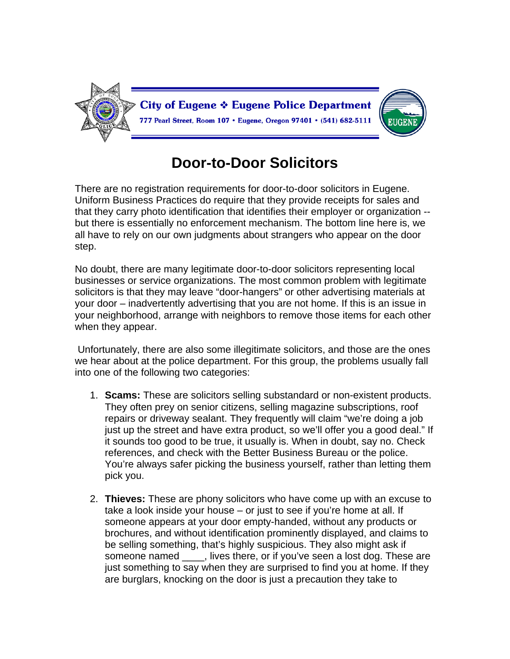

## **Door-to-Door Solicitors**

There are no registration requirements for door-to-door solicitors in Eugene. Uniform Business Practices do require that they provide receipts for sales and that they carry photo identification that identifies their employer or organization - but there is essentially no enforcement mechanism. The bottom line here is, we all have to rely on our own judgments about strangers who appear on the door step.

No doubt, there are many legitimate door-to-door solicitors representing local businesses or service organizations. The most common problem with legitimate solicitors is that they may leave "door-hangers" or other advertising materials at your door – inadvertently advertising that you are not home. If this is an issue in your neighborhood, arrange with neighbors to remove those items for each other when they appear.

 Unfortunately, there are also some illegitimate solicitors, and those are the ones we hear about at the police department. For this group, the problems usually fall into one of the following two categories:

- 1. **Scams:** These are solicitors selling substandard or non-existent products. They often prey on senior citizens, selling magazine subscriptions, roof repairs or driveway sealant. They frequently will claim "we're doing a job just up the street and have extra product, so we'll offer you a good deal." If it sounds too good to be true, it usually is. When in doubt, say no. Check references, and check with the Better Business Bureau or the police. You're always safer picking the business yourself, rather than letting them pick you.
- 2. **Thieves:** These are phony solicitors who have come up with an excuse to take a look inside your house – or just to see if you're home at all. If someone appears at your door empty-handed, without any products or brochures, and without identification prominently displayed, and claims to be selling something, that's highly suspicious. They also might ask if someone named \_\_\_\_, lives there, or if you've seen a lost dog. These are just something to say when they are surprised to find you at home. If they are burglars, knocking on the door is just a precaution they take to